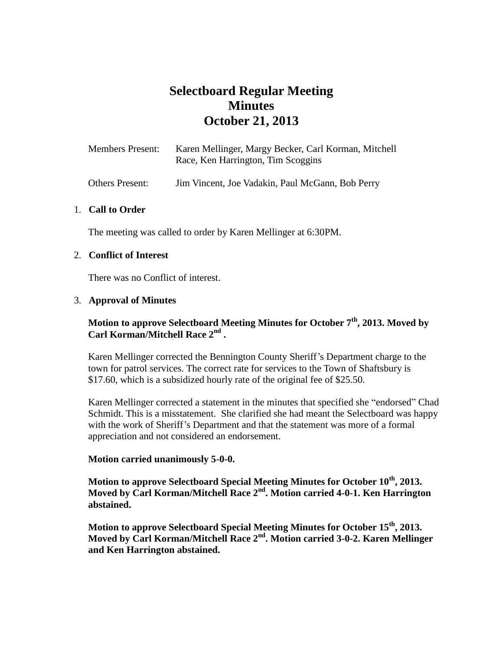# **Selectboard Regular Meeting Minutes October 21, 2013**

| <b>Members Present:</b> | Karen Mellinger, Margy Becker, Carl Korman, Mitchell |
|-------------------------|------------------------------------------------------|
|                         | Race, Ken Harrington, Tim Scoggins                   |
|                         |                                                      |

Others Present: Jim Vincent, Joe Vadakin, Paul McGann, Bob Perry

## 1. **Call to Order**

The meeting was called to order by Karen Mellinger at 6:30PM.

# 2. **Conflict of Interest**

There was no Conflict of interest.

# 3. **Approval of Minutes**

# **Motion to approve Selectboard Meeting Minutes for October 7th, 2013. Moved by Carl Korman/Mitchell Race 2nd .**

Karen Mellinger corrected the Bennington County Sheriff's Department charge to the town for patrol services. The correct rate for services to the Town of Shaftsbury is \$17.60, which is a subsidized hourly rate of the original fee of \$25.50.

Karen Mellinger corrected a statement in the minutes that specified she "endorsed" Chad Schmidt. This is a misstatement. She clarified she had meant the Selectboard was happy with the work of Sheriff's Department and that the statement was more of a formal appreciation and not considered an endorsement.

#### **Motion carried unanimously 5-0-0.**

**Motion to approve Selectboard Special Meeting Minutes for October 10th, 2013. Moved by Carl Korman/Mitchell Race 2nd. Motion carried 4-0-1. Ken Harrington abstained.**

**Motion to approve Selectboard Special Meeting Minutes for October 15th, 2013. Moved by Carl Korman/Mitchell Race 2nd. Motion carried 3-0-2. Karen Mellinger and Ken Harrington abstained.**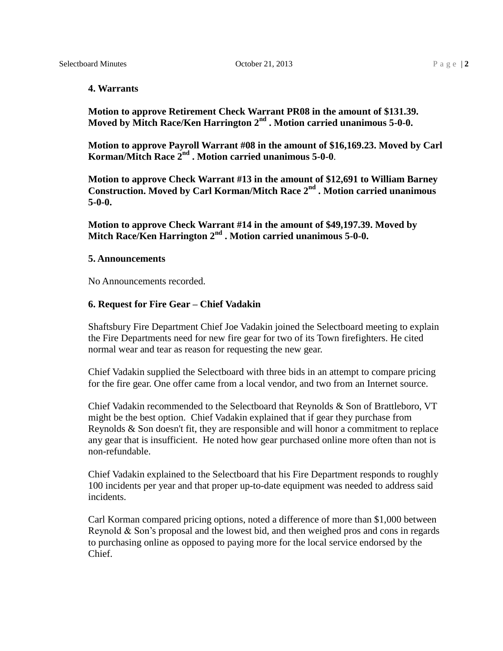#### **4. Warrants**

**Motion to approve Retirement Check Warrant PR08 in the amount of \$131.39. Moved by Mitch Race/Ken Harrington 2nd . Motion carried unanimous 5-0-0.**

**Motion to approve Payroll Warrant #08 in the amount of \$16,169.23. Moved by Carl Korman/Mitch Race 2nd . Motion carried unanimous 5-0-0**.

**Motion to approve Check Warrant #13 in the amount of \$12,691 to William Barney Construction. Moved by Carl Korman/Mitch Race 2nd . Motion carried unanimous 5-0-0.**

**Motion to approve Check Warrant #14 in the amount of \$49,197.39. Moved by Mitch Race/Ken Harrington 2nd . Motion carried unanimous 5-0-0.**

#### **5. Announcements**

No Announcements recorded.

#### **6. Request for Fire Gear – Chief Vadakin**

Shaftsbury Fire Department Chief Joe Vadakin joined the Selectboard meeting to explain the Fire Departments need for new fire gear for two of its Town firefighters. He cited normal wear and tear as reason for requesting the new gear.

Chief Vadakin supplied the Selectboard with three bids in an attempt to compare pricing for the fire gear. One offer came from a local vendor, and two from an Internet source.

Chief Vadakin recommended to the Selectboard that Reynolds & Son of Brattleboro, VT might be the best option. Chief Vadakin explained that if gear they purchase from Reynolds & Son doesn't fit, they are responsible and will honor a commitment to replace any gear that is insufficient. He noted how gear purchased online more often than not is non-refundable.

Chief Vadakin explained to the Selectboard that his Fire Department responds to roughly 100 incidents per year and that proper up-to-date equipment was needed to address said incidents.

Carl Korman compared pricing options, noted a difference of more than \$1,000 between Reynold  $\&$  Son's proposal and the lowest bid, and then weighed pros and cons in regards to purchasing online as opposed to paying more for the local service endorsed by the Chief.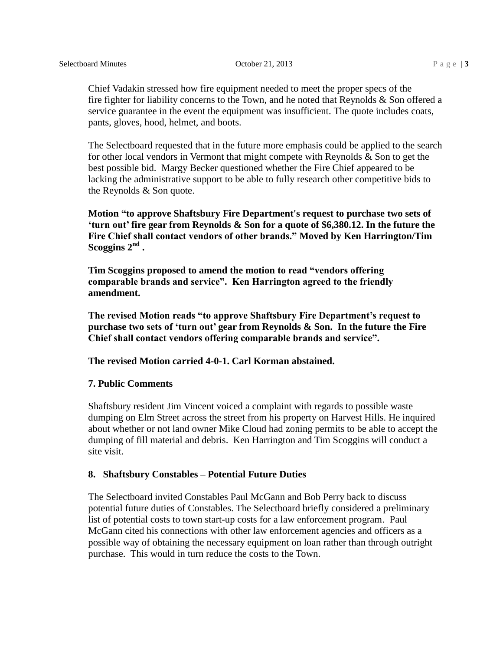Chief Vadakin stressed how fire equipment needed to meet the proper specs of the fire fighter for liability concerns to the Town, and he noted that Reynolds & Son offered a service guarantee in the event the equipment was insufficient. The quote includes coats, pants, gloves, hood, helmet, and boots.

The Selectboard requested that in the future more emphasis could be applied to the search for other local vendors in Vermont that might compete with Reynolds & Son to get the best possible bid. Margy Becker questioned whether the Fire Chief appeared to be lacking the administrative support to be able to fully research other competitive bids to the Reynolds & Son quote.

**Motion "to approve Shaftsbury Fire Department's request to purchase two sets of 'turn out' fire gear from Reynolds & Son for a quote of \$6,380.12. In the future the Fire Chief shall contact vendors of other brands." Moved by Ken Harrington/Tim**   $S$ coggins  $2<sup>nd</sup>$  .

**Tim Scoggins proposed to amend the motion to read "vendors offering comparable brands and service". Ken Harrington agreed to the friendly amendment.**

**The revised Motion reads "to approve Shaftsbury Fire Department's request to purchase two sets of 'turn out' gear from Reynolds & Son. In the future the Fire Chief shall contact vendors offering comparable brands and service".**

**The revised Motion carried 4-0-1. Carl Korman abstained.**

# **7. Public Comments**

Shaftsbury resident Jim Vincent voiced a complaint with regards to possible waste dumping on Elm Street across the street from his property on Harvest Hills. He inquired about whether or not land owner Mike Cloud had zoning permits to be able to accept the dumping of fill material and debris. Ken Harrington and Tim Scoggins will conduct a site visit.

# **8. Shaftsbury Constables – Potential Future Duties**

The Selectboard invited Constables Paul McGann and Bob Perry back to discuss potential future duties of Constables. The Selectboard briefly considered a preliminary list of potential costs to town start-up costs for a law enforcement program. Paul McGann cited his connections with other law enforcement agencies and officers as a possible way of obtaining the necessary equipment on loan rather than through outright purchase. This would in turn reduce the costs to the Town.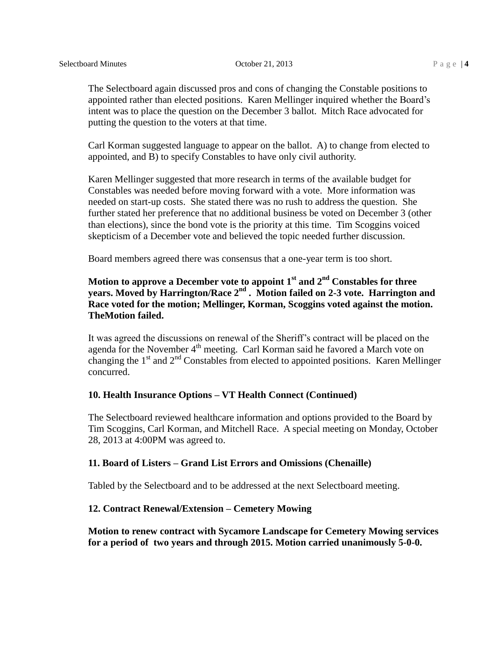The Selectboard again discussed pros and cons of changing the Constable positions to appointed rather than elected positions. Karen Mellinger inquired whether the Board's intent was to place the question on the December 3 ballot. Mitch Race advocated for putting the question to the voters at that time.

Carl Korman suggested language to appear on the ballot. A) to change from elected to appointed, and B) to specify Constables to have only civil authority.

Karen Mellinger suggested that more research in terms of the available budget for Constables was needed before moving forward with a vote. More information was needed on start-up costs. She stated there was no rush to address the question. She further stated her preference that no additional business be voted on December 3 (other than elections), since the bond vote is the priority at this time. Tim Scoggins voiced skepticism of a December vote and believed the topic needed further discussion.

Board members agreed there was consensus that a one-year term is too short.

# **Motion to approve a December vote to appoint 1st and 2nd Constables for three years. Moved by Harrington/Race 2nd . Motion failed on 2-3 vote. Harrington and Race voted for the motion; Mellinger, Korman, Scoggins voted against the motion. TheMotion failed.**

It was agreed the discussions on renewal of the Sheriff's contract will be placed on the agenda for the November 4<sup>th</sup> meeting. Carl Korman said he favored a March vote on changing the  $1<sup>st</sup>$  and  $2<sup>nd</sup>$  Constables from elected to appointed positions. Karen Mellinger concurred.

# **10. Health Insurance Options – VT Health Connect (Continued)**

The Selectboard reviewed healthcare information and options provided to the Board by Tim Scoggins, Carl Korman, and Mitchell Race. A special meeting on Monday, October 28, 2013 at 4:00PM was agreed to.

# **11. Board of Listers – Grand List Errors and Omissions (Chenaille)**

Tabled by the Selectboard and to be addressed at the next Selectboard meeting.

# **12. Contract Renewal/Extension – Cemetery Mowing**

**Motion to renew contract with Sycamore Landscape for Cemetery Mowing services for a period of two years and through 2015. Motion carried unanimously 5-0-0.**